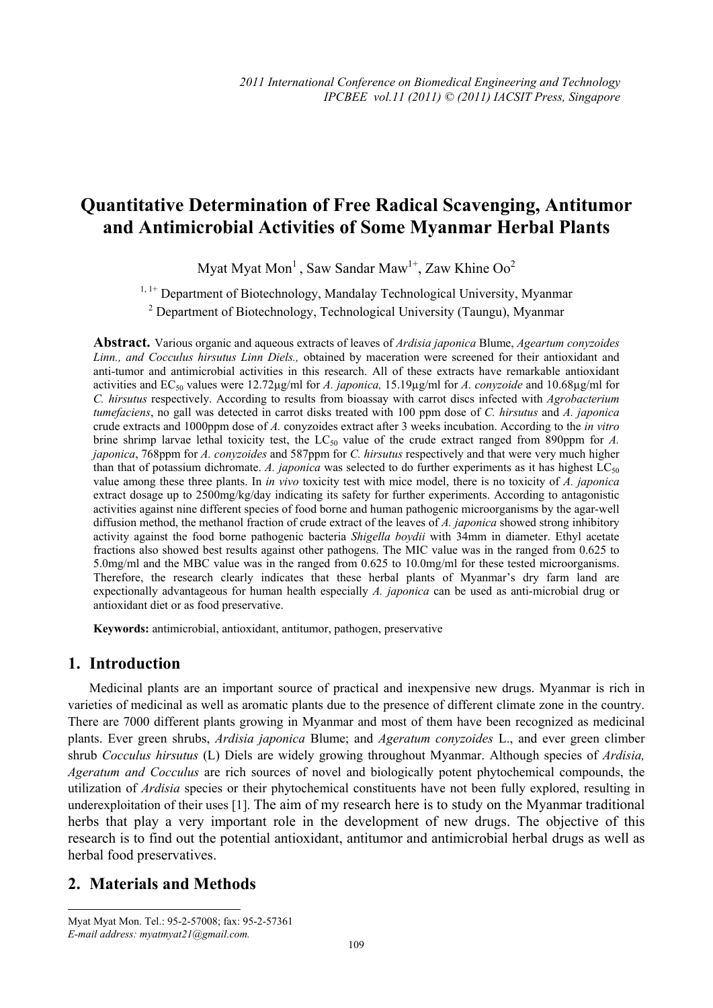# **Quantitative Determination of Free Radical Scavenging, Antitumor and Antimicrobial Activities of Some Myanmar Herbal Plants**

Myat Myat Mon<sup>1</sup>, Saw Sandar Maw<sup>1+</sup>, Zaw Khine Oo<sup>2</sup>

<sup>1, 1+</sup> Department of Biotechnology, Mandalay Technological University, Myanmar

<sup>2</sup> Department of Biotechnology, Technological University (Taungu), Myanmar

**Abstract.** Various organic and aqueous extracts of leaves of *Ardisia japonica* Blume, *Ageartum conyzoides Linn., and Cocculus hirsutus Linn Diels.,* obtained by maceration were screened for their antioxidant and anti-tumor and antimicrobial activities in this research. All of these extracts have remarkable antioxidant activities and EC50 values were 12.72µg/ml for *A. japonica,* 15.19µg/ml for *A. conyzoide* and 10.68µg/ml for *C. hirsutus* respectively. According to results from bioassay with carrot discs infected with *Agrobacterium tumefaciens*, no gall was detected in carrot disks treated with 100 ppm dose of *C. hirsutus* and *A. japonica* crude extracts and 1000ppm dose of *A.* conyzoides extract after 3 weeks incubation. According to the *in vitro* brine shrimp larvae lethal toxicity test, the LC<sub>50</sub> value of the crude extract ranged from 890ppm for *A*. *japonica*, 768ppm for *A. conyzoides* and 587ppm for *C. hirsutus* respectively and that were very much higher than that of potassium dichromate. *A. japonica* was selected to do further experiments as it has highest  $LC_{50}$ value among these three plants. In *in vivo* toxicity test with mice model, there is no toxicity of *A. japonica* extract dosage up to 2500mg/kg/day indicating its safety for further experiments. According to antagonistic activities against nine different species of food borne and human pathogenic microorganisms by the agar-well diffusion method, the methanol fraction of crude extract of the leaves of *A. japonica* showed strong inhibitory activity against the food borne pathogenic bacteria *Shigella boydii* with 34mm in diameter. Ethyl acetate fractions also showed best results against other pathogens. The MIC value was in the ranged from 0.625 to 5.0mg/ml and the MBC value was in the ranged from 0.625 to 10.0mg/ml for these tested microorganisms. Therefore, the research clearly indicates that these herbal plants of Myanmar's dry farm land are expectionally advantageous for human health especially *A. japonica* can be used as anti-microbial drug or antioxidant diet or as food preservative.

**Keywords:** antimicrobial, antioxidant, antitumor, pathogen, preservative

# **1. Introduction**

Medicinal plants are an important source of practical and inexpensive new drugs. Myanmar is rich in varieties of medicinal as well as aromatic plants due to the presence of different climate zone in the country. There are 7000 different plants growing in Myanmar and most of them have been recognized as medicinal plants. Ever green shrubs, *Ardisia japonica* Blume; and *Ageratum conyzoides* L., and ever green climber shrub *Cocculus hirsutus* (L) Diels are widely growing throughout Myanmar. Although species of *Ardisia, Ageratum and Cocculus* are rich sources of novel and biologically potent phytochemical compounds, the utilization of *Ardisia* species or their phytochemical constituents have not been fully explored, resulting in underexploitation of their uses [1]. The aim of my research here is to study on the Myanmar traditional herbs that play a very important role in the development of new drugs. The objective of this research is to find out the potential antioxidant, antitumor and antimicrobial herbal drugs as well as herbal food preservatives.

# **2. Materials and Methods**

 $\overline{a}$ 

Myat Myat Mon. Tel.: 95-2-57008; fax: 95-2-57361 *E-mail address: myatmyat21@gmail.com.*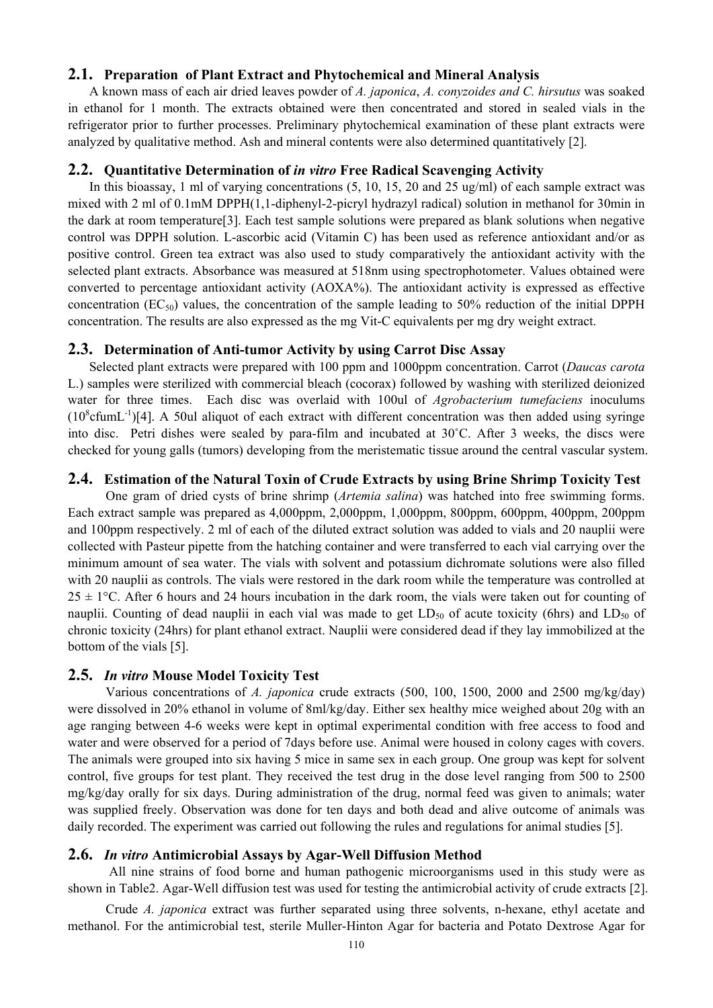#### **2.1. Preparation of Plant Extract and Phytochemical and Mineral Analysis**

A known mass of each air dried leaves powder of *A. japonica*, *A. conyzoides and C. hirsutus* was soaked in ethanol for 1 month. The extracts obtained were then concentrated and stored in sealed vials in the refrigerator prior to further processes. Preliminary phytochemical examination of these plant extracts were analyzed by qualitative method. Ash and mineral contents were also determined quantitatively [2].

## **2.2. Quantitative Determination of** *in vitro* **Free Radical Scavenging Activity**

In this bioassay, 1 ml of varying concentrations (5, 10, 15, 20 and 25 ug/ml) of each sample extract was mixed with 2 ml of 0.1mM DPPH(1,1-diphenyl-2-picryl hydrazyl radical) solution in methanol for 30min in the dark at room temperature[3]. Each test sample solutions were prepared as blank solutions when negative control was DPPH solution. L-ascorbic acid (Vitamin C) has been used as reference antioxidant and/or as positive control. Green tea extract was also used to study comparatively the antioxidant activity with the selected plant extracts. Absorbance was measured at 518nm using spectrophotometer. Values obtained were converted to percentage antioxidant activity (AOXA%). The antioxidant activity is expressed as effective concentration ( $EC_{50}$ ) values, the concentration of the sample leading to 50% reduction of the initial DPPH concentration. The results are also expressed as the mg Vit-C equivalents per mg dry weight extract.

#### **2.3. Determination of Anti-tumor Activity by using Carrot Disc Assay**

Selected plant extracts were prepared with 100 ppm and 1000ppm concentration. Carrot (*Daucas carota* L.) samples were sterilized with commercial bleach (cocorax) followed by washing with sterilized deionized water for three times. Each disc was overlaid with 100ul of *Agrobacterium tumefaciens* inoculums  $(10^8 \text{cfumL}^{-1})$ [4]. A 50ul aliquot of each extract with different concentration was then added using syringe into disc. Petri dishes were sealed by para-film and incubated at 30˚C. After 3 weeks, the discs were checked for young galls (tumors) developing from the meristematic tissue around the central vascular system.

#### **2.4. Estimation of the Natural Toxin of Crude Extracts by using Brine Shrimp Toxicity Test**

 One gram of dried cysts of brine shrimp (*Artemia salina*) was hatched into free swimming forms. Each extract sample was prepared as 4,000ppm, 2,000ppm, 1,000ppm, 800ppm, 600ppm, 400ppm, 200ppm and 100ppm respectively. 2 ml of each of the diluted extract solution was added to vials and 20 nauplii were collected with Pasteur pipette from the hatching container and were transferred to each vial carrying over the minimum amount of sea water. The vials with solvent and potassium dichromate solutions were also filled with 20 nauplii as controls. The vials were restored in the dark room while the temperature was controlled at  $25 \pm 1$ °C. After 6 hours and 24 hours incubation in the dark room, the vials were taken out for counting of nauplii. Counting of dead nauplii in each vial was made to get  $LD_{50}$  of acute toxicity (6hrs) and  $LD_{50}$  of chronic toxicity (24hrs) for plant ethanol extract. Nauplii were considered dead if they lay immobilized at the bottom of the vials [5].

#### **2.5.** *In vitro* **Mouse Model Toxicity Test**

 Various concentrations of *A. japonica* crude extracts (500, 100, 1500, 2000 and 2500 mg/kg/day) were dissolved in 20% ethanol in volume of 8ml/kg/day. Either sex healthy mice weighed about 20g with an age ranging between 4-6 weeks were kept in optimal experimental condition with free access to food and water and were observed for a period of 7days before use. Animal were housed in colony cages with covers. The animals were grouped into six having 5 mice in same sex in each group. One group was kept for solvent control, five groups for test plant. They received the test drug in the dose level ranging from 500 to 2500 mg/kg/day orally for six days. During administration of the drug, normal feed was given to animals; water was supplied freely. Observation was done for ten days and both dead and alive outcome of animals was daily recorded. The experiment was carried out following the rules and regulations for animal studies [5].

#### **2.6.** *In vitro* **Antimicrobial Assays by Agar-Well Diffusion Method**

 All nine strains of food borne and human pathogenic microorganisms used in this study were as shown in Table2. Agar-Well diffusion test was used for testing the antimicrobial activity of crude extracts [2].

 Crude *A. japonica* extract was further separated using three solvents, n-hexane, ethyl acetate and methanol. For the antimicrobial test, sterile Muller-Hinton Agar for bacteria and Potato Dextrose Agar for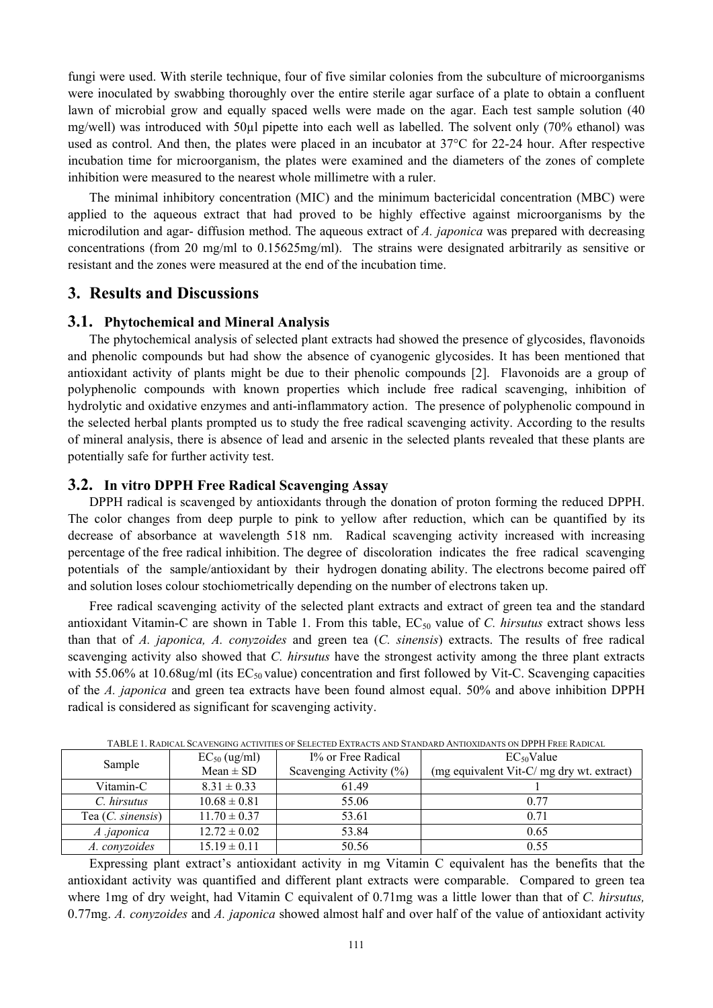fungi were used. With sterile technique, four of five similar colonies from the subculture of microorganisms were inoculated by swabbing thoroughly over the entire sterile agar surface of a plate to obtain a confluent lawn of microbial grow and equally spaced wells were made on the agar. Each test sample solution (40 mg/well) was introduced with 50µl pipette into each well as labelled. The solvent only (70% ethanol) was used as control. And then, the plates were placed in an incubator at 37°C for 22-24 hour. After respective incubation time for microorganism, the plates were examined and the diameters of the zones of complete inhibition were measured to the nearest whole millimetre with a ruler.

The minimal inhibitory concentration (MIC) and the minimum bactericidal concentration (MBC) were applied to the aqueous extract that had proved to be highly effective against microorganisms by the microdilution and agar- diffusion method. The aqueous extract of *A. japonica* was prepared with decreasing concentrations (from 20 mg/ml to 0.15625mg/ml). The strains were designated arbitrarily as sensitive or resistant and the zones were measured at the end of the incubation time.

### **3. Results and Discussions**

#### **3.1. Phytochemical and Mineral Analysis**

The phytochemical analysis of selected plant extracts had showed the presence of glycosides, flavonoids and phenolic compounds but had show the absence of cyanogenic glycosides. It has been mentioned that antioxidant activity of plants might be due to their phenolic compounds [2]. Flavonoids are a group of polyphenolic compounds with known properties which include free radical scavenging, inhibition of hydrolytic and oxidative enzymes and anti-inflammatory action. The presence of polyphenolic compound in the selected herbal plants prompted us to study the free radical scavenging activity. According to the results of mineral analysis, there is absence of lead and arsenic in the selected plants revealed that these plants are potentially safe for further activity test.

#### **3.2. In vitro DPPH Free Radical Scavenging Assay**

DPPH radical is scavenged by antioxidants through the donation of proton forming the reduced DPPH. The color changes from deep purple to pink to yellow after reduction, which can be quantified by its decrease of absorbance at wavelength 518 nm. Radical scavenging activity increased with increasing percentage of the free radical inhibition. The degree of discoloration indicates the free radical scavenging potentials of the sample/antioxidant by their hydrogen donating ability. The electrons become paired off and solution loses colour stochiometrically depending on the number of electrons taken up.

Free radical scavenging activity of the selected plant extracts and extract of green tea and the standard antioxidant Vitamin-C are shown in Table 1. From this table, EC<sub>50</sub> value of *C. hirsutus* extract shows less than that of *A. japonica, A. conyzoides* and green tea (*C. sinensis*) extracts. The results of free radical scavenging activity also showed that *C. hirsutus* have the strongest activity among the three plant extracts with 55.06% at 10.68ug/ml (its  $EC_{50}$  value) concentration and first followed by Vit-C. Scavenging capacities of the *A. japonica* and green tea extracts have been found almost equal. 50% and above inhibition DPPH radical is considered as significant for scavenging activity.

| TADLE T. KADICAL SCAVENGING ACTIVITIES OF SELECTED EXTRACTS AND STANDARD ANTIOXIDANTS ON DPPTI FREE KADICAL |                   |                             |                                           |  |  |  |  |  |  |
|-------------------------------------------------------------------------------------------------------------|-------------------|-----------------------------|-------------------------------------------|--|--|--|--|--|--|
| Sample                                                                                                      | $EC_{50}$ (ug/ml) | I% or Free Radical          | $EC_{50}$ Value                           |  |  |  |  |  |  |
|                                                                                                             | $Mean \pm SD$     | Scavenging Activity $(\% )$ | (mg equivalent Vit-C/ mg dry wt. extract) |  |  |  |  |  |  |
| Vitamin-C                                                                                                   | $8.31 \pm 0.33$   | 6149                        |                                           |  |  |  |  |  |  |
| C. hirsutus                                                                                                 | $10.68 \pm 0.81$  | 55.06                       | 0.77                                      |  |  |  |  |  |  |
| Tea $(C.$ sinensis)                                                                                         | $11.70 \pm 0.37$  | 53.61                       | 0.71                                      |  |  |  |  |  |  |
| A .japonica                                                                                                 | $12.72 \pm 0.02$  | 53.84                       | 0.65                                      |  |  |  |  |  |  |
| A. conyzoides                                                                                               | $15.19 \pm 0.11$  | 50.56                       | 0.55                                      |  |  |  |  |  |  |

TABLE 1. RADICAL SCAVENGING ACTIVITIES OF SELECTED EXTRACTS AND STANDARD ANTIOXIDANTS ON DPPH FREE RADICAL

Expressing plant extract's antioxidant activity in mg Vitamin C equivalent has the benefits that the antioxidant activity was quantified and different plant extracts were comparable. Compared to green tea where 1mg of dry weight, had Vitamin C equivalent of 0.71mg was a little lower than that of *C. hirsutus,* 0.77mg. *A. conyzoides* and *A. japonica* showed almost half and over half of the value of antioxidant activity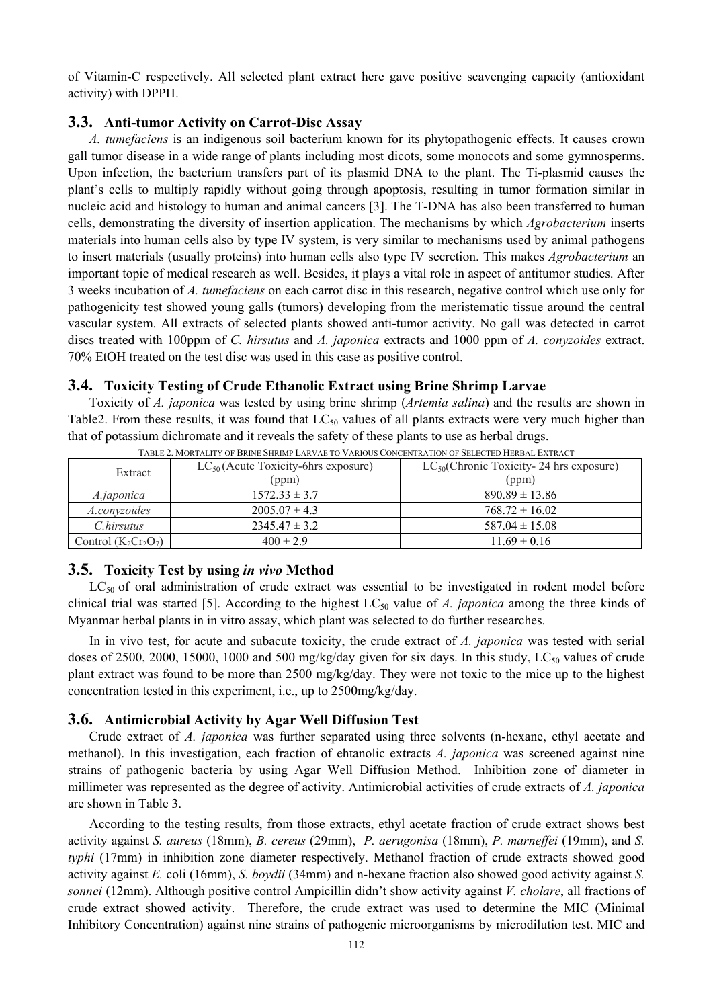of Vitamin-C respectively. All selected plant extract here gave positive scavenging capacity (antioxidant activity) with DPPH.

#### **3.3. Anti-tumor Activity on Carrot-Disc Assay**

*A. tumefaciens* is an indigenous soil bacterium known for its phytopathogenic effects. It causes crown gall tumor disease in a wide range of plants including most dicots, some monocots and some gymnosperms. Upon infection, the bacterium transfers part of its plasmid DNA to the plant. The Ti-plasmid causes the plant's cells to multiply rapidly without going through apoptosis, resulting in tumor formation similar in nucleic acid and histology to human and animal cancers [3]. The T-DNA has also been transferred to human cells, demonstrating the diversity of insertion application. The mechanisms by which *Agrobacterium* inserts materials into human cells also by type IV system, is very similar to mechanisms used by animal pathogens to insert materials (usually proteins) into human cells also type IV secretion. This makes *Agrobacterium* an important topic of medical research as well. Besides, it plays a vital role in aspect of antitumor studies. After 3 weeks incubation of *A. tumefaciens* on each carrot disc in this research, negative control which use only for pathogenicity test showed young galls (tumors) developing from the meristematic tissue around the central vascular system. All extracts of selected plants showed anti-tumor activity. No gall was detected in carrot discs treated with 100ppm of *C. hirsutus* and *A. japonica* extracts and 1000 ppm of *A. conyzoides* extract. 70% EtOH treated on the test disc was used in this case as positive control.

#### **3.4. Toxicity Testing of Crude Ethanolic Extract using Brine Shrimp Larvae**

Toxicity of *A. japonica* was tested by using brine shrimp (*Artemia salina*) and the results are shown in Table2. From these results, it was found that  $LC_{50}$  values of all plants extracts were very much higher than that of potassium dichromate and it reveals the safety of these plants to use as herbal drugs.

| Extract                | $LC_{50}$ (Acute Toxicity-6hrs exposure)<br>(ppm) | $LC_{50}$ (Chronic Toxicity- 24 hrs exposure)<br>(ppm) |  |  |  |
|------------------------|---------------------------------------------------|--------------------------------------------------------|--|--|--|
| A.japonica             | $1572.33 \pm 3.7$                                 | $890.89 \pm 13.86$                                     |  |  |  |
| A.convzoides           | $2005.07 \pm 4.3$                                 | $768.72 \pm 16.02$                                     |  |  |  |
| C.hirsutus             | $2345.47 \pm 3.2$                                 | $587.04 \pm 15.08$                                     |  |  |  |
| Control $(K_2Cr_2O_7)$ | $400 \pm 2.9$                                     | $11.69 \pm 0.16$                                       |  |  |  |

TABLE 2. MORTALITY OF BRINE SHRIMP LARVAE TO VARIOUS CONCENTRATION OF SELECTED HERBAL EXTRACT

#### **3.5. Toxicity Test by using** *in vivo* **Method**

 $LC_{50}$  of oral administration of crude extract was essential to be investigated in rodent model before clinical trial was started [5]. According to the highest  $LC_{50}$  value of *A. japonica* among the three kinds of Myanmar herbal plants in in vitro assay, which plant was selected to do further researches.

In in vivo test, for acute and subacute toxicity, the crude extract of *A. japonica* was tested with serial doses of 2500, 2000, 15000, 1000 and 500 mg/kg/day given for six days. In this study,  $LC_{50}$  values of crude plant extract was found to be more than 2500 mg/kg/day. They were not toxic to the mice up to the highest concentration tested in this experiment, i.e., up to 2500mg/kg/day.

#### **3.6. Antimicrobial Activity by Agar Well Diffusion Test**

Crude extract of *A. japonica* was further separated using three solvents (n-hexane, ethyl acetate and methanol). In this investigation, each fraction of ehtanolic extracts *A. japonica* was screened against nine strains of pathogenic bacteria by using Agar Well Diffusion Method. Inhibition zone of diameter in millimeter was represented as the degree of activity. Antimicrobial activities of crude extracts of *A. japonica* are shown in Table 3.

According to the testing results, from those extracts, ethyl acetate fraction of crude extract shows best activity against *S. aureus* (18mm), *B. cereus* (29mm), *P. aerugonisa* (18mm), *P. marneffei* (19mm), and *S. typhi* (17mm) in inhibition zone diameter respectively. Methanol fraction of crude extracts showed good activity against *E.* coli (16mm), *S. boydii* (34mm) and n-hexane fraction also showed good activity against *S. sonnei* (12mm). Although positive control Ampicillin didn't show activity against *V. cholare*, all fractions of crude extract showed activity. Therefore, the crude extract was used to determine the MIC (Minimal Inhibitory Concentration) against nine strains of pathogenic microorganisms by microdilution test. MIC and